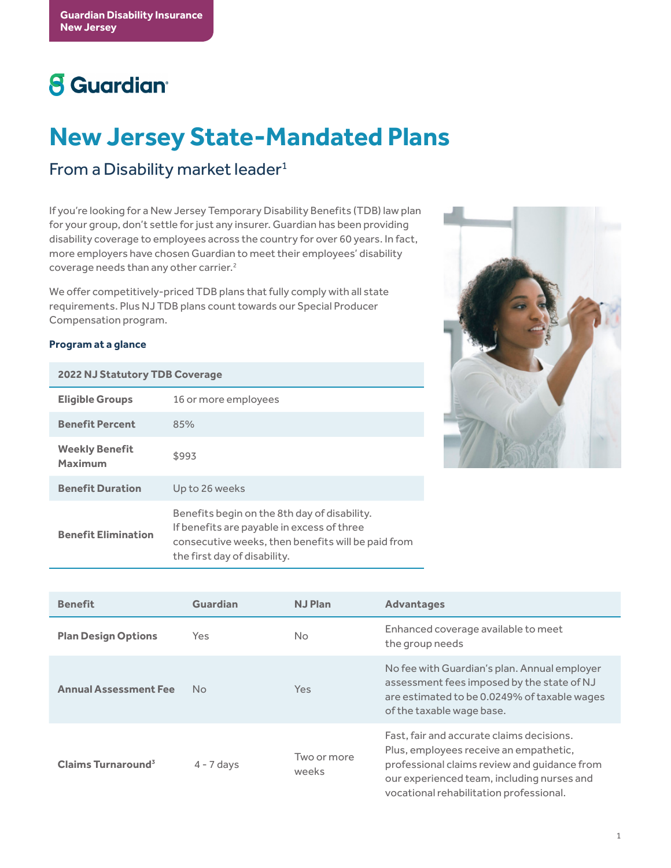# **8** Guardian<sup>®</sup>

# **New Jersey State-Mandated Plans**

## From a Disability market leader $1$

If you're looking for a New Jersey Temporary Disability Benefits (TDB) law plan for your group, don't settle for just any insurer. Guardian has been providing disability coverage to employees across the country for over 60 years. In fact, more employers have chosen Guardian to meet their employees' disability coverage needs than any other carrier.2

We offer competitively-priced TDB plans that fully comply with all state requirements. Plus NJ TDB plans count towards our Special Producer Compensation program.

#### **Program at a glance**

| <b>2022 NJ Statutory TDB Coverage</b> |                                                                                                                                                                                  |  |  |  |
|---------------------------------------|----------------------------------------------------------------------------------------------------------------------------------------------------------------------------------|--|--|--|
| <b>Eligible Groups</b>                | 16 or more employees                                                                                                                                                             |  |  |  |
| <b>Benefit Percent</b>                | 85%                                                                                                                                                                              |  |  |  |
| <b>Weekly Benefit</b><br>Maximum      | \$993                                                                                                                                                                            |  |  |  |
| <b>Benefit Duration</b>               | Up to 26 weeks                                                                                                                                                                   |  |  |  |
| <b>Benefit Elimination</b>            | Benefits begin on the 8th day of disability.<br>If benefits are payable in excess of three<br>consecutive weeks, then benefits will be paid from<br>the first day of disability. |  |  |  |



| <b>Benefit</b>                 | <b>Guardian</b> | <b>NJ Plan</b>       | <b>Advantages</b>                                                                                                                                                                                                            |
|--------------------------------|-----------------|----------------------|------------------------------------------------------------------------------------------------------------------------------------------------------------------------------------------------------------------------------|
| <b>Plan Design Options</b>     | Yes             | No                   | Enhanced coverage available to meet<br>the group needs                                                                                                                                                                       |
| <b>Annual Assessment Fee</b>   | No.             | <b>Yes</b>           | No fee with Guardian's plan. Annual employer<br>assessment fees imposed by the state of NJ<br>are estimated to be 0.0249% of taxable wages<br>of the taxable wage base.                                                      |
| Claims Turnaround <sup>3</sup> | $4 - 7$ days    | Two or more<br>weeks | Fast, fair and accurate claims decisions.<br>Plus, employees receive an empathetic,<br>professional claims review and guidance from<br>our experienced team, including nurses and<br>vocational rehabilitation professional. |